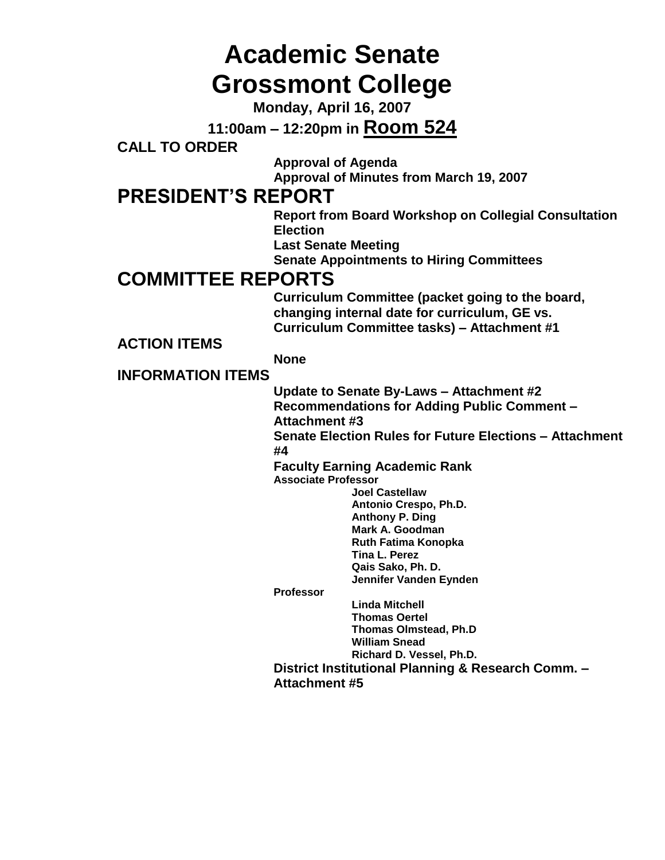# **Academic Senate Grossmont College**

**Monday, April 16, 2007**

**11:00am – 12:20pm in Room 524**

**CALL TO ORDER**

**Approval of Agenda**

**Approval of Minutes from March 19, 2007**

### **PRESIDENT'S REPORT**

**Report from Board Workshop on Collegial Consultation Election**

**Last Senate Meeting**

**Senate Appointments to Hiring Committees**

### **COMMITTEE REPORTS**

**Curriculum Committee (packet going to the board, changing internal date for curriculum, GE vs. Curriculum Committee tasks) – Attachment #1**

**ACTION ITEMS**

#### **None**

#### **INFORMATION ITEMS**

**Update to Senate By-Laws – Attachment #2 Recommendations for Adding Public Comment – Attachment #3**

**Senate Election Rules for Future Elections – Attachment #4**

**Faculty Earning Academic Rank Associate Professor**

**Joel Castellaw Antonio Crespo, Ph.D. Anthony P. Ding Mark A. Goodman Ruth Fatima Konopka Tina L. Perez Qais Sako, Ph. D. Jennifer Vanden Eynden**

**Professor**

**Linda Mitchell Thomas Oertel Thomas Olmstead, Ph.D William Snead Richard D. Vessel, Ph.D.**

**District Institutional Planning & Research Comm. – Attachment #5**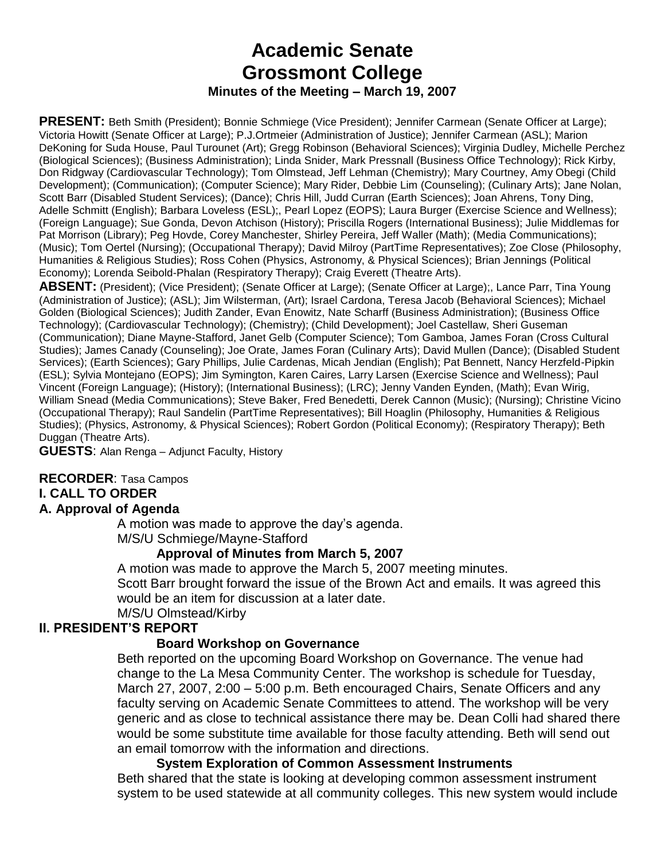### **Academic Senate Grossmont College Minutes of the Meeting – March 19, 2007**

**PRESENT:** Beth Smith (President); Bonnie Schmiege (Vice President); Jennifer Carmean (Senate Officer at Large); Victoria Howitt (Senate Officer at Large); P.J.Ortmeier (Administration of Justice); Jennifer Carmean (ASL); Marion DeKoning for Suda House, Paul Turounet (Art); Gregg Robinson (Behavioral Sciences); Virginia Dudley, Michelle Perchez (Biological Sciences); (Business Administration); Linda Snider, Mark Pressnall (Business Office Technology); Rick Kirby, Don Ridgway (Cardiovascular Technology); Tom Olmstead, Jeff Lehman (Chemistry); Mary Courtney, Amy Obegi (Child Development); (Communication); (Computer Science); Mary Rider, Debbie Lim (Counseling); (Culinary Arts); Jane Nolan, Scott Barr (Disabled Student Services); (Dance); Chris Hill, Judd Curran (Earth Sciences); Joan Ahrens, Tony Ding, Adelle Schmitt (English); Barbara Loveless (ESL);, Pearl Lopez (EOPS); Laura Burger (Exercise Science and Wellness); (Foreign Language); Sue Gonda, Devon Atchison (History); Priscilla Rogers (International Business); Julie Middlemas for Pat Morrison (Library); Peg Hovde, Corey Manchester, Shirley Pereira, Jeff Waller (Math); (Media Communications); (Music); Tom Oertel (Nursing); (Occupational Therapy); David Milroy (PartTime Representatives); Zoe Close (Philosophy, Humanities & Religious Studies); Ross Cohen (Physics, Astronomy, & Physical Sciences); Brian Jennings (Political Economy); Lorenda Seibold-Phalan (Respiratory Therapy); Craig Everett (Theatre Arts).

**ABSENT:** (President); (Vice President); (Senate Officer at Large); (Senate Officer at Large);, Lance Parr, Tina Young (Administration of Justice); (ASL); Jim Wilsterman, (Art); Israel Cardona, Teresa Jacob (Behavioral Sciences); Michael Golden (Biological Sciences); Judith Zander, Evan Enowitz, Nate Scharff (Business Administration); (Business Office Technology); (Cardiovascular Technology); (Chemistry); (Child Development); Joel Castellaw, Sheri Guseman (Communication); Diane Mayne-Stafford, Janet Gelb (Computer Science); Tom Gamboa, James Foran (Cross Cultural Studies); James Canady (Counseling); Joe Orate, James Foran (Culinary Arts); David Mullen (Dance); (Disabled Student Services); (Earth Sciences); Gary Phillips, Julie Cardenas, Micah Jendian (English); Pat Bennett, Nancy Herzfeld-Pipkin (ESL); Sylvia Montejano (EOPS); Jim Symington, Karen Caires, Larry Larsen (Exercise Science and Wellness); Paul Vincent (Foreign Language); (History); (International Business); (LRC); Jenny Vanden Eynden, (Math); Evan Wirig, William Snead (Media Communications); Steve Baker, Fred Benedetti, Derek Cannon (Music); (Nursing); Christine Vicino (Occupational Therapy); Raul Sandelin (PartTime Representatives); Bill Hoaglin (Philosophy, Humanities & Religious Studies); (Physics, Astronomy, & Physical Sciences); Robert Gordon (Political Economy); (Respiratory Therapy); Beth Duggan (Theatre Arts).

**GUESTS**: Alan Renga – Adjunct Faculty, History

#### **RECORDER**: Tasa Campos

#### **I. CALL TO ORDER**

#### **A. Approval of Agenda**

A motion was made to approve the day's agenda.

M/S/U Schmiege/Mayne-Stafford

#### **Approval of Minutes from March 5, 2007**

A motion was made to approve the March 5, 2007 meeting minutes.

Scott Barr brought forward the issue of the Brown Act and emails. It was agreed this would be an item for discussion at a later date.

M/S/U Olmstead/Kirby

#### **II. PRESIDENT'S REPORT**

#### **Board Workshop on Governance**

Beth reported on the upcoming Board Workshop on Governance. The venue had change to the La Mesa Community Center. The workshop is schedule for Tuesday, March 27, 2007, 2:00 – 5:00 p.m. Beth encouraged Chairs, Senate Officers and any faculty serving on Academic Senate Committees to attend. The workshop will be very generic and as close to technical assistance there may be. Dean Colli had shared there would be some substitute time available for those faculty attending. Beth will send out an email tomorrow with the information and directions.

#### **System Exploration of Common Assessment Instruments**

Beth shared that the state is looking at developing common assessment instrument system to be used statewide at all community colleges. This new system would include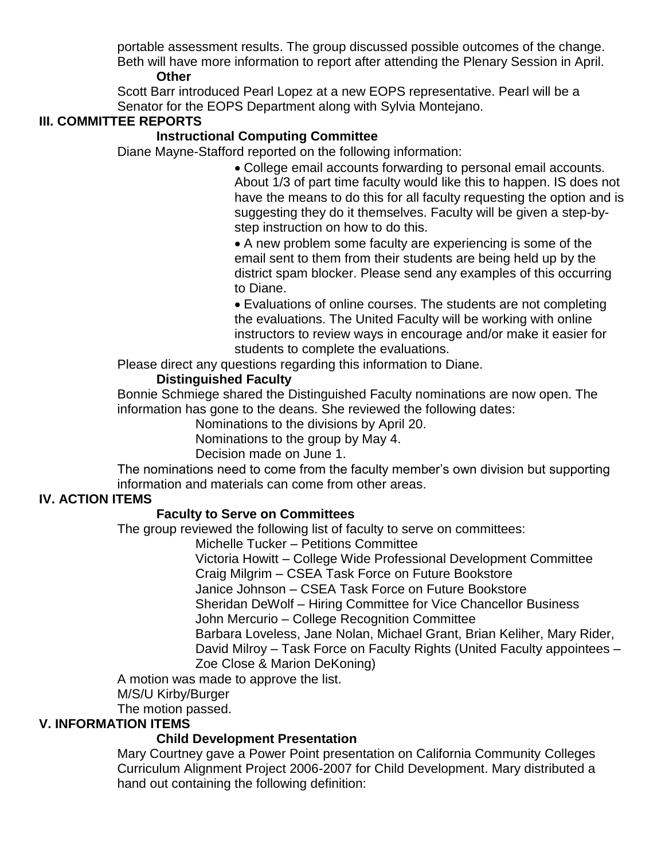portable assessment results. The group discussed possible outcomes of the change. Beth will have more information to report after attending the Plenary Session in April. **Other** 

Scott Barr introduced Pearl Lopez at a new EOPS representative. Pearl will be a Senator for the EOPS Department along with Sylvia Montejano.

#### **III. COMMITTEE REPORTS**

#### **Instructional Computing Committee**

Diane Mayne-Stafford reported on the following information:

College email accounts forwarding to personal email accounts. About 1/3 of part time faculty would like this to happen. IS does not have the means to do this for all faculty requesting the option and is suggesting they do it themselves. Faculty will be given a step-bystep instruction on how to do this.

A new problem some faculty are experiencing is some of the email sent to them from their students are being held up by the district spam blocker. Please send any examples of this occurring to Diane.

Evaluations of online courses. The students are not completing the evaluations. The United Faculty will be working with online instructors to review ways in encourage and/or make it easier for students to complete the evaluations.

Please direct any questions regarding this information to Diane.

#### **Distinguished Faculty**

Bonnie Schmiege shared the Distinguished Faculty nominations are now open. The information has gone to the deans. She reviewed the following dates:

Nominations to the divisions by April 20.

Nominations to the group by May 4.

Decision made on June 1.

The nominations need to come from the faculty member's own division but supporting information and materials can come from other areas.

#### **IV. ACTION ITEMS**

#### **Faculty to Serve on Committees**

The group reviewed the following list of faculty to serve on committees:

Michelle Tucker – Petitions Committee

Victoria Howitt – College Wide Professional Development Committee Craig Milgrim – CSEA Task Force on Future Bookstore

Janice Johnson – CSEA Task Force on Future Bookstore

Sheridan DeWolf – Hiring Committee for Vice Chancellor Business

John Mercurio – College Recognition Committee

Barbara Loveless, Jane Nolan, Michael Grant, Brian Keliher, Mary Rider, David Milroy – Task Force on Faculty Rights (United Faculty appointees – Zoe Close & Marion DeKoning)

A motion was made to approve the list.

M/S/U Kirby/Burger

The motion passed.

#### **V. INFORMATION ITEMS**

#### **Child Development Presentation**

Mary Courtney gave a Power Point presentation on California Community Colleges Curriculum Alignment Project 2006-2007 for Child Development. Mary distributed a hand out containing the following definition: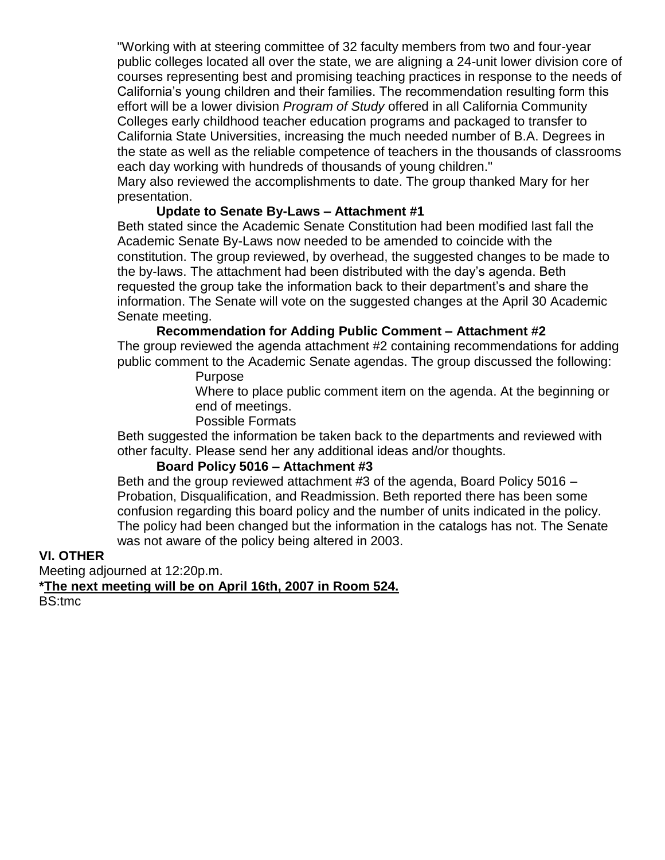"Working with at steering committee of 32 faculty members from two and four-year public colleges located all over the state, we are aligning a 24-unit lower division core of courses representing best and promising teaching practices in response to the needs of California's young children and their families. The recommendation resulting form this effort will be a lower division *Program of Study* offered in all California Community Colleges early childhood teacher education programs and packaged to transfer to California State Universities, increasing the much needed number of B.A. Degrees in the state as well as the reliable competence of teachers in the thousands of classrooms each day working with hundreds of thousands of young children." Mary also reviewed the accomplishments to date. The group thanked Mary for her

presentation.

#### **Update to Senate By-Laws – Attachment #1**

Beth stated since the Academic Senate Constitution had been modified last fall the Academic Senate By-Laws now needed to be amended to coincide with the constitution. The group reviewed, by overhead, the suggested changes to be made to the by-laws. The attachment had been distributed with the day's agenda. Beth requested the group take the information back to their department's and share the information. The Senate will vote on the suggested changes at the April 30 Academic Senate meeting.

#### **Recommendation for Adding Public Comment – Attachment #2**

The group reviewed the agenda attachment #2 containing recommendations for adding public comment to the Academic Senate agendas. The group discussed the following:

#### Purpose

Where to place public comment item on the agenda. At the beginning or end of meetings.

#### Possible Formats

Beth suggested the information be taken back to the departments and reviewed with other faculty. Please send her any additional ideas and/or thoughts.

#### **Board Policy 5016 – Attachment #3**

Beth and the group reviewed attachment #3 of the agenda, Board Policy 5016 – Probation, Disqualification, and Readmission. Beth reported there has been some confusion regarding this board policy and the number of units indicated in the policy. The policy had been changed but the information in the catalogs has not. The Senate was not aware of the policy being altered in 2003.

#### **VI. OTHER**

Meeting adjourned at 12:20p.m.

**\*The next meeting will be on April 16th, 2007 in Room 524.**

BS:tmc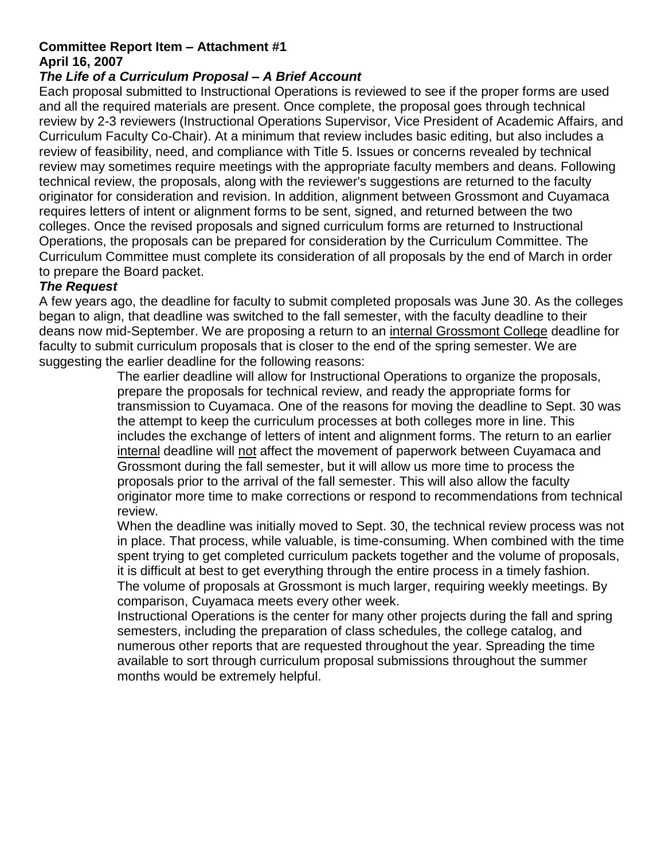#### **Committee Report Item – Attachment #1 April 16, 2007**

#### *The Life of a Curriculum Proposal – A Brief Account*

Each proposal submitted to Instructional Operations is reviewed to see if the proper forms are used and all the required materials are present. Once complete, the proposal goes through technical review by 2-3 reviewers (Instructional Operations Supervisor, Vice President of Academic Affairs, and Curriculum Faculty Co-Chair). At a minimum that review includes basic editing, but also includes a review of feasibility, need, and compliance with Title 5. Issues or concerns revealed by technical review may sometimes require meetings with the appropriate faculty members and deans. Following technical review, the proposals, along with the reviewer's suggestions are returned to the faculty originator for consideration and revision. In addition, alignment between Grossmont and Cuyamaca requires letters of intent or alignment forms to be sent, signed, and returned between the two colleges. Once the revised proposals and signed curriculum forms are returned to Instructional Operations, the proposals can be prepared for consideration by the Curriculum Committee. The Curriculum Committee must complete its consideration of all proposals by the end of March in order to prepare the Board packet.

#### *The Request*

A few years ago, the deadline for faculty to submit completed proposals was June 30. As the colleges began to align, that deadline was switched to the fall semester, with the faculty deadline to their deans now mid-September. We are proposing a return to an internal Grossmont College deadline for faculty to submit curriculum proposals that is closer to the end of the spring semester. We are suggesting the earlier deadline for the following reasons:

> The earlier deadline will allow for Instructional Operations to organize the proposals, prepare the proposals for technical review, and ready the appropriate forms for transmission to Cuyamaca. One of the reasons for moving the deadline to Sept. 30 was the attempt to keep the curriculum processes at both colleges more in line. This includes the exchange of letters of intent and alignment forms. The return to an earlier internal deadline will not affect the movement of paperwork between Cuyamaca and Grossmont during the fall semester, but it will allow us more time to process the proposals prior to the arrival of the fall semester. This will also allow the faculty originator more time to make corrections or respond to recommendations from technical review.

> When the deadline was initially moved to Sept. 30, the technical review process was not in place. That process, while valuable, is time-consuming. When combined with the time spent trying to get completed curriculum packets together and the volume of proposals, it is difficult at best to get everything through the entire process in a timely fashion. The volume of proposals at Grossmont is much larger, requiring weekly meetings. By comparison, Cuyamaca meets every other week.

Instructional Operations is the center for many other projects during the fall and spring semesters, including the preparation of class schedules, the college catalog, and numerous other reports that are requested throughout the year. Spreading the time available to sort through curriculum proposal submissions throughout the summer months would be extremely helpful.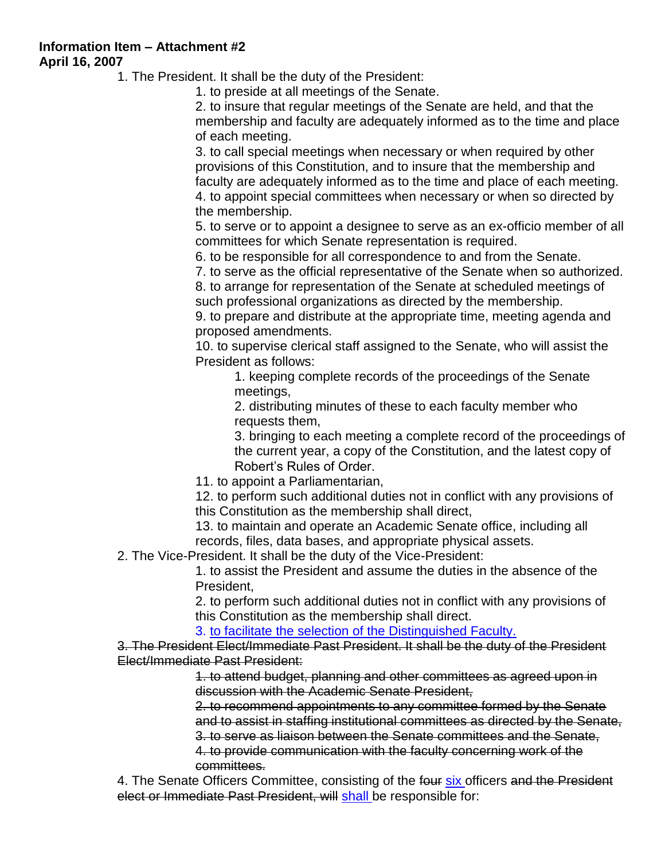**Information Item – Attachment #2 April 16, 2007**

1. The President. It shall be the duty of the President:

1. to preside at all meetings of the Senate.

2. to insure that regular meetings of the Senate are held, and that the membership and faculty are adequately informed as to the time and place of each meeting.

3. to call special meetings when necessary or when required by other provisions of this Constitution, and to insure that the membership and faculty are adequately informed as to the time and place of each meeting. 4. to appoint special committees when necessary or when so directed by the membership.

5. to serve or to appoint a designee to serve as an ex-officio member of all committees for which Senate representation is required.

6. to be responsible for all correspondence to and from the Senate.

7. to serve as the official representative of the Senate when so authorized.

8. to arrange for representation of the Senate at scheduled meetings of such professional organizations as directed by the membership.

9. to prepare and distribute at the appropriate time, meeting agenda and proposed amendments.

10. to supervise clerical staff assigned to the Senate, who will assist the President as follows:

1. keeping complete records of the proceedings of the Senate meetings,

2. distributing minutes of these to each faculty member who requests them,

3. bringing to each meeting a complete record of the proceedings of the current year, a copy of the Constitution, and the latest copy of Robert's Rules of Order.

11. to appoint a Parliamentarian,

12. to perform such additional duties not in conflict with any provisions of this Constitution as the membership shall direct,

13. to maintain and operate an Academic Senate office, including all records, files, data bases, and appropriate physical assets.

2. The Vice-President. It shall be the duty of the Vice-President:

1. to assist the President and assume the duties in the absence of the President,

2. to perform such additional duties not in conflict with any provisions of this Constitution as the membership shall direct.

3. to facilitate the selection of the Distinguished Faculty.

3. The President Elect/Immediate Past President. It shall be the duty of the President Elect/Immediate Past President:

> 1. to attend budget, planning and other committees as agreed upon in discussion with the Academic Senate President,

2. to recommend appointments to any committee formed by the Senate and to assist in staffing institutional committees as directed by the Senate,

3. to serve as liaison between the Senate committees and the Senate,

4. to provide communication with the faculty concerning work of the committees.

4. The Senate Officers Committee, consisting of the four six officers and the President elect or Immediate Past President, will shall be responsible for: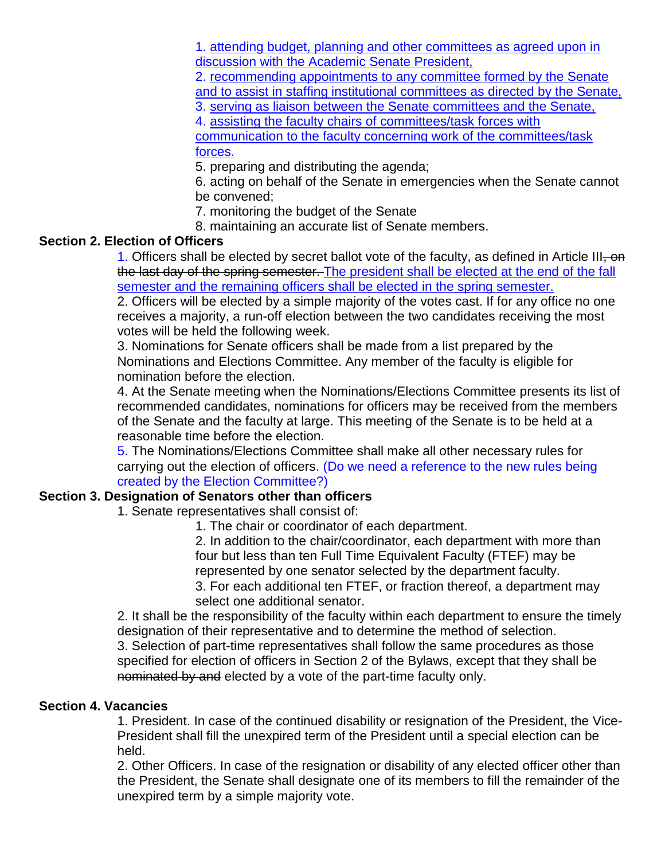1. attending budget, planning and other committees as agreed upon in discussion with the Academic Senate President,

2. recommending appointments to any committee formed by the Senate and to assist in staffing institutional committees as directed by the Senate,

3. serving as liaison between the Senate committees and the Senate,

4. assisting the faculty chairs of committees/task forces with communication to the faculty concerning work of the committees/task forces.

5. preparing and distributing the agenda;

6. acting on behalf of the Senate in emergencies when the Senate cannot be convened;

7. monitoring the budget of the Senate

8. maintaining an accurate list of Senate members.

#### **Section 2. Election of Officers**

1. Officers shall be elected by secret ballot vote of the faculty, as defined in Article III, on the last day of the spring semester. The president shall be elected at the end of the fall semester and the remaining officers shall be elected in the spring semester.

2. Officers will be elected by a simple majority of the votes cast. If for any office no one receives a majority, a run-off election between the two candidates receiving the most votes will be held the following week.

3. Nominations for Senate officers shall be made from a list prepared by the Nominations and Elections Committee. Any member of the faculty is eligible for nomination before the election.

4. At the Senate meeting when the Nominations/Elections Committee presents its list of recommended candidates, nominations for officers may be received from the members of the Senate and the faculty at large. This meeting of the Senate is to be held at a reasonable time before the election.

5. The Nominations/Elections Committee shall make all other necessary rules for carrying out the election of officers. (Do we need a reference to the new rules being created by the Election Committee?)

#### **Section 3. Designation of Senators other than officers**

1. Senate representatives shall consist of:

1. The chair or coordinator of each department.

2. In addition to the chair/coordinator, each department with more than four but less than ten Full Time Equivalent Faculty (FTEF) may be represented by one senator selected by the department faculty. 3. For each additional ten FTEF, or fraction thereof, a department may select one additional senator.

2. It shall be the responsibility of the faculty within each department to ensure the timely designation of their representative and to determine the method of selection.

3. Selection of part-time representatives shall follow the same procedures as those specified for election of officers in Section 2 of the Bylaws, except that they shall be nominated by and elected by a vote of the part-time faculty only.

#### **Section 4. Vacancies**

1. President. In case of the continued disability or resignation of the President, the Vice-President shall fill the unexpired term of the President until a special election can be held.

2. Other Officers. In case of the resignation or disability of any elected officer other than the President, the Senate shall designate one of its members to fill the remainder of the unexpired term by a simple majority vote.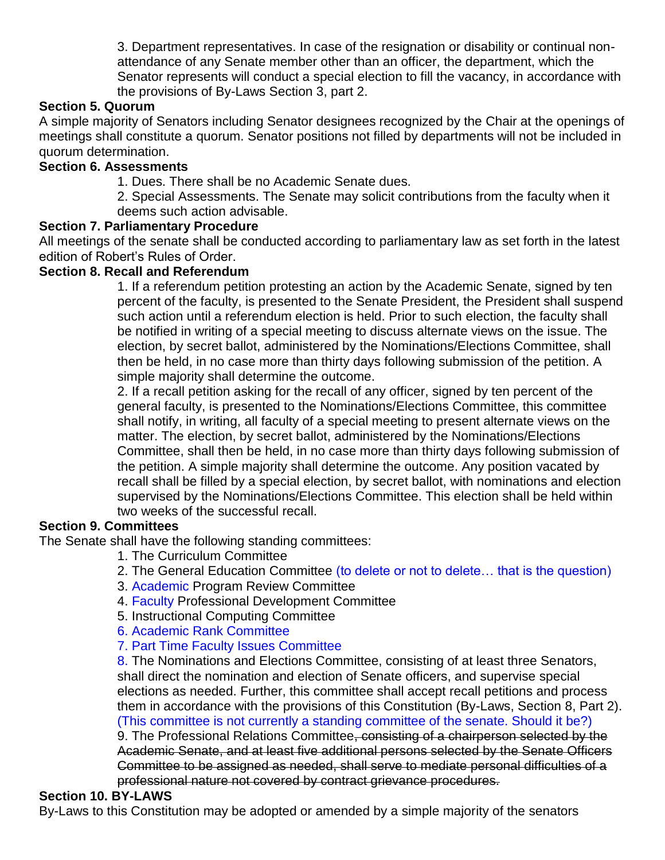3. Department representatives. In case of the resignation or disability or continual nonattendance of any Senate member other than an officer, the department, which the Senator represents will conduct a special election to fill the vacancy, in accordance with the provisions of By-Laws Section 3, part 2.

#### **Section 5. Quorum**

A simple majority of Senators including Senator designees recognized by the Chair at the openings of meetings shall constitute a quorum. Senator positions not filled by departments will not be included in quorum determination.

#### **Section 6. Assessments**

1. Dues. There shall be no Academic Senate dues.

2. Special Assessments. The Senate may solicit contributions from the faculty when it deems such action advisable.

#### **Section 7. Parliamentary Procedure**

All meetings of the senate shall be conducted according to parliamentary law as set forth in the latest edition of Robert's Rules of Order.

#### **Section 8. Recall and Referendum**

1. If a referendum petition protesting an action by the Academic Senate, signed by ten percent of the faculty, is presented to the Senate President, the President shall suspend such action until a referendum election is held. Prior to such election, the faculty shall be notified in writing of a special meeting to discuss alternate views on the issue. The election, by secret ballot, administered by the Nominations/Elections Committee, shall then be held, in no case more than thirty days following submission of the petition. A simple majority shall determine the outcome.

2. If a recall petition asking for the recall of any officer, signed by ten percent of the general faculty, is presented to the Nominations/Elections Committee, this committee shall notify, in writing, all faculty of a special meeting to present alternate views on the matter. The election, by secret ballot, administered by the Nominations/Elections Committee, shall then be held, in no case more than thirty days following submission of the petition. A simple majority shall determine the outcome. Any position vacated by recall shall be filled by a special election, by secret ballot, with nominations and election supervised by the Nominations/Elections Committee. This election shall be held within two weeks of the successful recall.

#### **Section 9. Committees**

The Senate shall have the following standing committees:

- 1. The Curriculum Committee
- 2. The General Education Committee (to delete or not to delete… that is the question)
	- 3. Academic Program Review Committee
	- 4. Faculty Professional Development Committee
	- 5. Instructional Computing Committee
	- 6. Academic Rank Committee
	- 7. Part Time Faculty Issues Committee

8. The Nominations and Elections Committee, consisting of at least three Senators, shall direct the nomination and election of Senate officers, and supervise special elections as needed. Further, this committee shall accept recall petitions and process them in accordance with the provisions of this Constitution (By-Laws, Section 8, Part 2). (This committee is not currently a standing committee of the senate. Should it be?)

9. The Professional Relations Committee<del>, consisting of a chairperson selected by the</del> Academic Senate, and at least five additional persons selected by the Senate Officers Committee to be assigned as needed, shall serve to mediate personal difficulties of a professional nature not covered by contract grievance procedures.

#### **Section 10. BY-LAWS**

By-Laws to this Constitution may be adopted or amended by a simple majority of the senators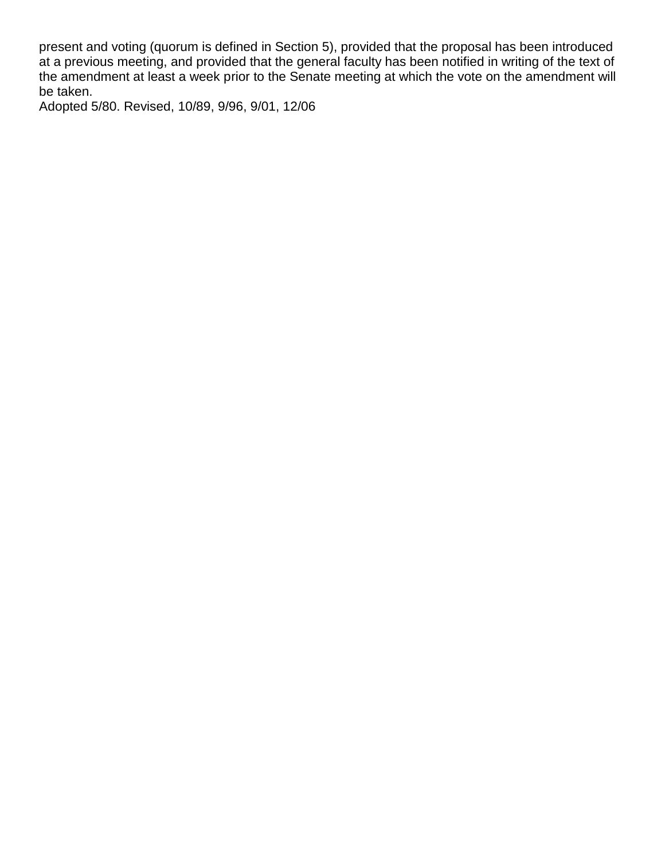present and voting (quorum is defined in Section 5), provided that the proposal has been introduced at a previous meeting, and provided that the general faculty has been notified in writing of the text of the amendment at least a week prior to the Senate meeting at which the vote on the amendment will be taken.

Adopted 5/80. Revised, 10/89, 9/96, 9/01, 12/06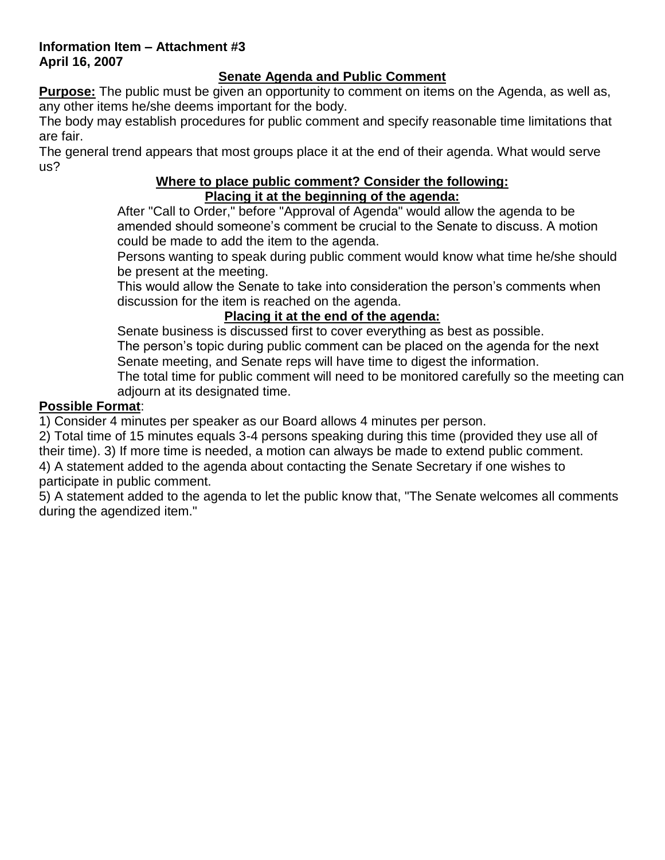#### **Information Item – Attachment #3 April 16, 2007**

#### **Senate Agenda and Public Comment**

**Purpose:** The public must be given an opportunity to comment on items on the Agenda, as well as, any other items he/she deems important for the body.

The body may establish procedures for public comment and specify reasonable time limitations that are fair.

The general trend appears that most groups place it at the end of their agenda. What would serve us?

#### **Where to place public comment? Consider the following: Placing it at the beginning of the agenda:**

After "Call to Order," before "Approval of Agenda" would allow the agenda to be amended should someone's comment be crucial to the Senate to discuss. A motion could be made to add the item to the agenda.

Persons wanting to speak during public comment would know what time he/she should be present at the meeting.

This would allow the Senate to take into consideration the person's comments when discussion for the item is reached on the agenda.

#### **Placing it at the end of the agenda:**

Senate business is discussed first to cover everything as best as possible. The person's topic during public comment can be placed on the agenda for the next Senate meeting, and Senate reps will have time to digest the information.

The total time for public comment will need to be monitored carefully so the meeting can adjourn at its designated time.

#### **Possible Format**:

1) Consider 4 minutes per speaker as our Board allows 4 minutes per person.

2) Total time of 15 minutes equals 3-4 persons speaking during this time (provided they use all of their time). 3) If more time is needed, a motion can always be made to extend public comment. 4) A statement added to the agenda about contacting the Senate Secretary if one wishes to

participate in public comment.

5) A statement added to the agenda to let the public know that, "The Senate welcomes all comments during the agendized item."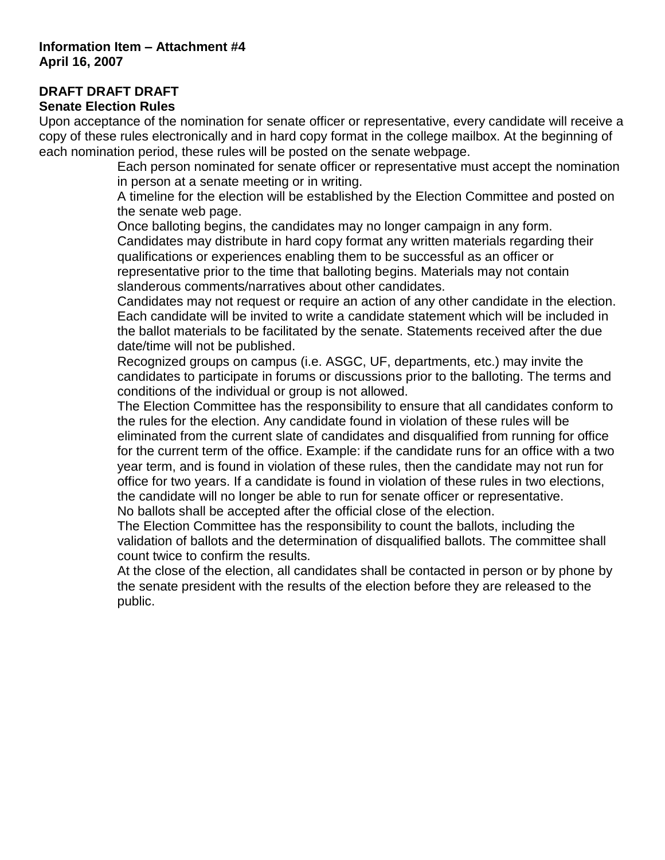### **DRAFT DRAFT DRAFT**

#### **Senate Election Rules**

Upon acceptance of the nomination for senate officer or representative, every candidate will receive a copy of these rules electronically and in hard copy format in the college mailbox. At the beginning of each nomination period, these rules will be posted on the senate webpage.

Each person nominated for senate officer or representative must accept the nomination in person at a senate meeting or in writing.

A timeline for the election will be established by the Election Committee and posted on the senate web page.

Once balloting begins, the candidates may no longer campaign in any form. Candidates may distribute in hard copy format any written materials regarding their qualifications or experiences enabling them to be successful as an officer or representative prior to the time that balloting begins. Materials may not contain slanderous comments/narratives about other candidates.

Candidates may not request or require an action of any other candidate in the election. Each candidate will be invited to write a candidate statement which will be included in the ballot materials to be facilitated by the senate. Statements received after the due date/time will not be published.

Recognized groups on campus (i.e. ASGC, UF, departments, etc.) may invite the candidates to participate in forums or discussions prior to the balloting. The terms and conditions of the individual or group is not allowed.

The Election Committee has the responsibility to ensure that all candidates conform to the rules for the election. Any candidate found in violation of these rules will be eliminated from the current slate of candidates and disqualified from running for office for the current term of the office. Example: if the candidate runs for an office with a two year term, and is found in violation of these rules, then the candidate may not run for office for two years. If a candidate is found in violation of these rules in two elections, the candidate will no longer be able to run for senate officer or representative. No ballots shall be accepted after the official close of the election.

The Election Committee has the responsibility to count the ballots, including the validation of ballots and the determination of disqualified ballots. The committee shall count twice to confirm the results.

At the close of the election, all candidates shall be contacted in person or by phone by the senate president with the results of the election before they are released to the public.